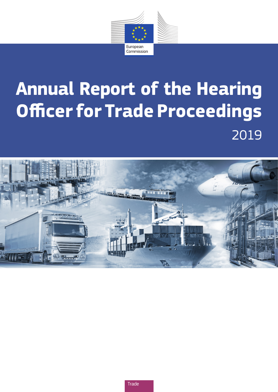

# **Annual Report of the Hearing Officer for Trade Proceedings** 2019

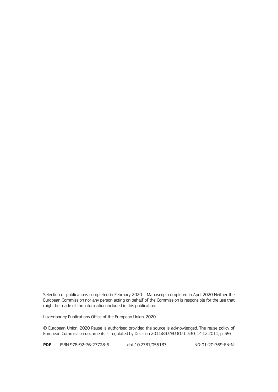Selection of publications completed in February 2020 – Manuscript completed in April 2020 Neither the European Commission nor any person acting on behalf of the Commission is responsible for the use that might be made of the information included in this publication.

Luxembourg: Publications Office of the European Union, 2020

© European Union, 2020 Reuse is authorised provided the source is acknowledged. The reuse policy of European Commission documents is regulated by Decision 2011/833/EU (OJ L 330, 14.12.2011, p. 39).

**PDF** ISBN 978-92-76-27728-6 doi: 10.2781/055133 NG-01-20-769-EN-N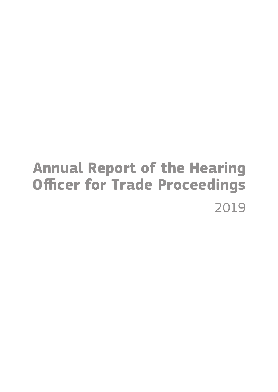## **Annual Report of the Hearing Officer for Trade Proceedings** 2019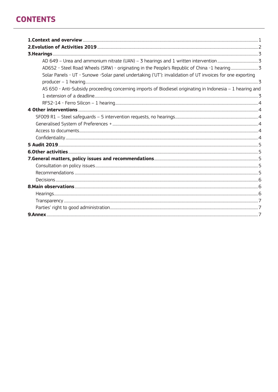## **CONTENTS**

| Solar Panels - UT - Sunowe -Solar panel undertaking ('UT'): invalidation of UT invoices for one exporting |  |
|-----------------------------------------------------------------------------------------------------------|--|
|                                                                                                           |  |
| AS 650 - Anti-Subsidy proceeding concerning imports of Biodiesel originating in Indonesia - 1 hearing and |  |
|                                                                                                           |  |
|                                                                                                           |  |
|                                                                                                           |  |
|                                                                                                           |  |
|                                                                                                           |  |
|                                                                                                           |  |
|                                                                                                           |  |
|                                                                                                           |  |
|                                                                                                           |  |
|                                                                                                           |  |
|                                                                                                           |  |
|                                                                                                           |  |
|                                                                                                           |  |
|                                                                                                           |  |
|                                                                                                           |  |
|                                                                                                           |  |
|                                                                                                           |  |
|                                                                                                           |  |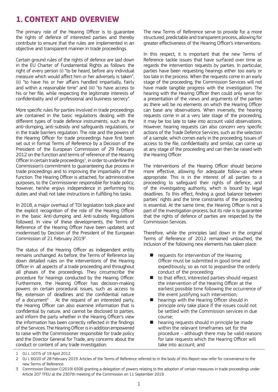## **1. CONTEXT AND OVERVIEW**

The primary role of the Hearing Officer is to guarantee the rights of defence of interested parties and thereby contribute to ensure that the rules are implemented in an objective and transparent manner in trade proceedings.

Certain ground rules of the rights of defence are laid down in the EU Charter of Fundamental Rights as follows: the right of every person (i) "to be heard, before any individual measure which would affect him or her adversely is taken", (ii) "to have his or her affairs handled impartially, fairly and within a reasonable time" and (iii) "to have access to his or her file, while respecting the legitimate interests of confidentiality and of professional and business secrecy".

More specific rules for parties involved in trade proceedings are contained in the basic regulations dealing with the different types of trade defence instruments, such as the anti-dumping, anti-subsidy and safeguards regulations, or in the trade barriers regulation. The role and the powers of the Hearing Officer for trade proceedings have first been set out in formal Terms of Reference by a Decision of the President of the European Commission of 29 February 2012 on the function and terms of reference of the Hearing Officer in certain trade proceedings<sup>1</sup>, in order to underline the Commission's commitment to guaranteeing due process in trade proceedings and to improving the impartiality of the function. The Hearing Officer is attached, for administrative purposes, to the Commissioner responsible for trade policy; however, he/she enjoys independence in performing his duties and shall not take instructions in fulfilling his tasks.

In 2018, a major overhaul of TDI legislation took place and the explicit recognition of the role of the Hearing Officer in the basic Anti-dumping and Anti-subsidy Regulations followed. In view of these developments, the Terms of Reference of the Hearing Officer have been updated, and modernised by Decision of the President of the European Commission of 21 February 2019<sup>2</sup>.

The status of the Hearing Officer as independent entity remains unchanged. As before, the Terms of Reference lay down detailed rules on the interventions of the Hearing Officer in all aspects of a trade proceeding and throughout all phases of the proceedings. They circumscribe the procedure for hearings conducted by the Hearing Officer. Furthermore, the Hearing Officer has decision-making powers on certain procedural issues, such as access to file, extension of deadlines and the confidential nature of a document<sup>3</sup>. At the request of an interested party, the Hearing Officer can also examine information that is confidential by nature, and cannot be disclosed to parties, and inform the party whether in the Hearing Officer's view the information has been correctly reflected in the findings of the Services. The Hearing Officer is in addition empowered to raise with the Commissioner responsible for trade policy and the Director General for Trade, any concerns about the conduct or content of any trade investigation.

The new Terms of Reference serve to provide for a more structured, predictable and transparent process, allowing for greater effectiveness of the Hearing Officer's interventions.

In this respect, it is important that the new Terms of Reference tackle issues that have surfaced over time as regards the intervention requests by parties. In particular, parties have been requesting hearings either too early or too late in the process. When the requests come in an early stage of the proceeding, the Commission Services will not have made tangible progress with the investigation. The hearing with the Hearing Officer then could only serve for a presentation of the views and arguments of the parties as there will be no elements on which the Hearing Officer can base any observations. When inversely, the hearing requests come in at a very late stage of the proceeding, it may be too late to take into account valid observations. However, hearing requests can also concern very specific actions of the Trade Defence Services, such as the selection of a sample, which comes early in the proceeding. Issues of access to the file, confidentiality and similar, can come up at any stage of the proceeding and can then be raised with the Hearing Officer.

The interventions of the Hearing Officer should become more effective, allowing for adequate follow-up where appropriate. This is in the interest of all parties to a proceeding to safeguard their rights of defence, and of the investigating authority, which is bound by legal deadlines. To this effect, finding a good balance between parties' rights and the time constraints of the proceeding is essential. At the same time, the Hearing Officer is not a part of the investigation process, but its role is to guarantee that the rights of defence of parties are respected by the Commission Services.

Therefore, while the principles laid down in the original Terms of Reference of 2012 remained untouched, the inclusion of the following new elements has taken place:

- requests for intervention of the Hearing Officer must be submitted in good time and expeditiously, so as not to jeopardise the orderly conduct of the proceeding:
- $\blacksquare$  to that effect, interested parties should request the intervention of the Hearing Officer at the earliest possible time following the occurrence of the event justifying such intervention;
- hearings with the Hearing Officer should in principle only take place if the issues could not be settled with the Commission services in due course;
- hearing requests should in principle be made within the relevant timeframes set for the procedure – although there may be valid reasons for late requests which the Hearing Officer will take into account; and

<sup>1</sup> OJ L 107/5 of 19 April 2012.

<sup>2</sup> OJ L 60/20 of 28 February 2019. Articles of the Terms of Reference referred to in the body of this Report now refer for convenience to the new Terms of Reference.

<sup>3</sup> Commission Decision C(2019) 6506 granting a delegation of powers relating to the adoption of certain measures in trade proceedings under Article 207 TFEU at the 2307th meeting of the Commission on 11 September 2019.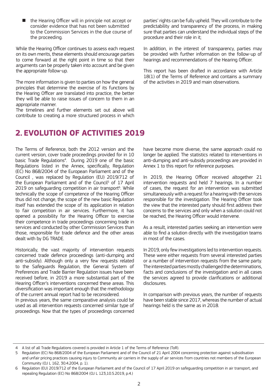■ the Hearing Officer will in principle not accept or consider evidence that has not been submitted to the Commission Services in the due course of the proceeding.

While the Hearing Officer continues to assess each request on its own merits, these elements should encourage parties to come forward at the right point in time so that their arguments can be properly taken into account and be given the appropriate follow-up.

The more information is given to parties on how the general principles that determine the exercise of its functions by the Hearing Officer are translated into practice, the better they will be able to raise issues of concern to them in an appropriate manner.

The timelines and further elements set out above will contribute to creating a more structured process in which

## **2. EVOLUTION OF ACTIVITIES 2019**

The Terms of Reference, both the 2012 version and the current version, cover trade proceedings provided for in 10 basic Trade Regulations4 . During 2019 one of the basic Regulations listed in the Annex, specifically, Regulation (EC) No 868/2004 of the European Parliament and of the Council , was replaced by Regulation (EU) 2019/712 of the European Parliament and of the Council<sup>5</sup> of 17 April 2019 on safeguarding competition in air transport<sup>6</sup>. While technically the scope of competence of the Hearing Officer thus did not change, the scope of the new basic Regulation itself has extended the scope of its application in relation to fair competition in air services. Furthermore, it has opened a possibility for the Hearing Officer to exercise their competence in trade proceedings concerning trade in services and conducted by other Commission Services than those, responsible for trade defence and the other areas dealt with by DG TRADE.

Historically, the vast majority of intervention requests concerned trade defence proceedings (anti-dumping and anti-subsidy). Although only a very few requests related to the Safeguards Regulation, the General System of Preferences and Trade Barrier Regulation issues have been received before, in 2019 a more substantial part of the Hearing Officer's interventions concerned these areas. This diversification was important enough that the methodology of the current annual report had to be reconsidered.

In previous years, the same comparative analysis could be used as all intervention requests concerned similar type of proceedings. Now that the types of proceedings concerned

parties' rights can be fully upheld. They will contribute to the predictability and transparency of the process, in making sure that parties can understand the individual steps of the procedure and their role in it;

In addition, in the interest of transparency, parties may be provided with further information on the follow-up of hearings and recommendations of the Hearing Officer.

This report has been drafted in accordance with Article 18(1) of the Terms of Reference and contains a summary of the activities in 2019 and main observations.

have become more diverse, the same approach could no longer be applied. The statistics related to interventions in anti-dumping and anti-subsidy proceedings are provided in Annex 1 to this report for reference purposes.

In 2019, the Hearing Officer received altogether 21 intervention requests and held 7 hearings. In a number of cases, the request for an intervention was submitted simultaneously with a request for a hearing with the services responsible for the investigation. The Hearing Officer took the view that the interested party should first address their concerns to the services and only when a solution could not be reached, the Hearing Officer would intervene.

As a result, interested parties seeking an intervention were able to find a solution directly with the investigation teams in most of the cases.

In 2019, only few investigations led to intervention requests. These were either requests from several interested parties or a number of intervention requests from the same party. The interested parties mostly challenged the determinations, facts and conclusions of the investigation and in all cases the services agreed to provide clarifications or additional disclosures.

In comparison with previous years, the number of requests have been stable since 2017, whereas the number of actual hearings held is the same as in 2018.

4 A list of all Trade Regulations covered is provided in Article 1 of the Terms of Reference (ToR).

<sup>5</sup> Regulation (EC) No 868/2004 of the European Parliament and of the Council of 21 April 2004 concerning protection against subsidisation and unfair pricing practices causing injury to Community air carriers in the supply of air services from countries not members of the European Community (OJ L 162, 30.4.2004, p. 1).

<sup>6</sup> Regulation (EU) 2019/712 of the European Parliament and of the Council of 17 April 2019 on safeguarding competition in air transport, and repealing Regulation (EC) No 868/2004 (OJ L 123,10.5.2019, p.4.)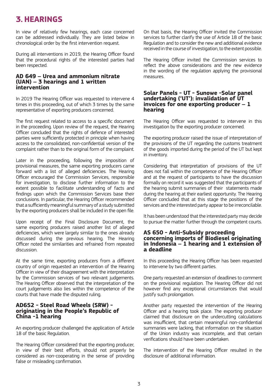## **3. HEARINGS**

In view of relatively few hearings, each case concerned can be addressed individually. They are listed below in chronological order by the first intervention request.

During all interventions in 2019, the Hearing Officer found that the procedural rights of the interested parties had been respected.

#### **AD 649 – Urea and ammonium nitrate (UAN) – 3 hearings and 1 written intervention**

In 2019 The Hearing Officer was requested to intervene 4 times in this proceeding, out of which 3 times by the same representative of exporting producers concerned.

The first request related to access to a specific document in the proceeding. Upon review of the request, the Hearing Officer concluded that the rights of defence of interested parties were sufficiently protected in principle when having access to the consolidated, non-confidential version of the complaint rather than to the original form of the complaint.

Later in the proceeding, following the imposition of provisional measures, the same exporting producers came forward with a list of alleged deficiencies. The Hearing Officer encouraged the Commission Services, responsible for investigation, to disclose further information to the extent possible to facilitate understanding of facts and findings upon which the Commission Services base their conclusions. In particular, the Hearing Officer recommended that a sufficiently meaningful summary of a study submitted by the exporting producers shall be included in the open file.

Upon receipt of the Final Disclosure Document, the same exporting producers raised another list of alleged deficiencies, which were largely similar to the ones already discussed during the previous hearing. The Hearing Officer noted the similarities and refrained from repeated discussion.

At the same time, exporting producers from a different country of origin requested an intervention of the Hearing Officer in view of their disagreement with the interpretation by the Commission services of two relevant judgements. The Hearing Officer observed that the interpretation of the court judgements also lies within the competence of the courts that have made the disputed ruling.

#### **AD652 - Steel Road Wheels (SRW) originating in the People's Republic of China -1 hearing**

An exporting producer challenged the application of Article 18 of the basic Regulation.

The Hearing Officer considered that the exporting producer, in view of their best efforts, should not properly be considered as non-cooperating in the sense of providing false or misleading confirmation.

On that basis, the Hearing Officer invited the Commission services to further clarify the use of Article 18 of the basic Regulation and to consider the new and additional evidence received in the course of investigation, to the extent possible.

The Hearing Officer invited the Commission services to reflect the above considerations and the new evidence in the wording of the regulation applying the provisional measures.

#### **Solar Panels - UT - Sunowe -Solar panel undertaking ('UT'): invalidation of UT invoices for one exporting producer – 1 hearing**

The Hearing Officer was requested to intervene in this investigation by the exporting producer concerned.

The exporting producer raised the issue of interpretation of the provisions of the UT regarding the customs treatment of the goods imported during the period of the UT but kept in inventory.

Considering that interpretation of provisions of the UT does not fall within the competence of the Hearing Officer and at the request of participants to have the discussion formally on record it was suggested that the participants of the hearing submit summaries of their statements made during the hearing at their earliest opportunity. The Hearing Officer concluded that at this stage the positions of the services and the interested party appear to be irreconcilable.

It has been understood that the interested party may decide to pursue the matter further through the competent courts.

#### **AS 650 - Anti-Subsidy proceeding concerning imports of Biodiesel originating in Indonesia – 1 hearing and 1 extension of a deadline**

In this proceeding the Hearing Officer has been requested to intervene by two different parties.

One party requested an extension of deadlines to comment on the provisional regulation. The Hearing Officer did not however find any exceptional circumstances that would justify such prolongation.

Another party requested the intervention of the Hearing Officer and a hearing took place. The exporting producer claimed that disclosure on the undercutting calculations was insufficient, that certain meaningful non-confidential summaries were lacking, that information on the situation of the Union industry was incomplete, and that certain verifications should have been undertaken.

The intervention of the Hearing Officer resulted in the disclosure of additional information.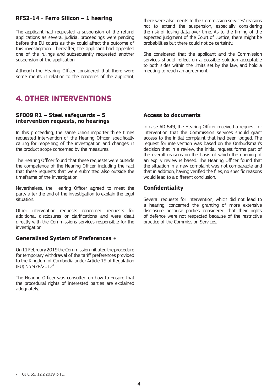#### **RF52-14 - Ferro Silicon – 1 hearing**

The applicant had requested a suspension of the refund applications as several judicial proceedings were pending before the EU courts as they could affect the outcome of this investigation. Thereafter, the applicant had appealed one of the rulings and subsequently requested another suspension of the application.

Although the Hearing Officer considered that there were some merits in relation to the concerns of the applicant,

## **4. OTHER INTERVENTIONS**

#### **SF009 R1 – Steel safeguards – 5 intervention requests, no hearings**

In this proceeding, the same Union importer three times requested intervention of the Hearing Officer, specifically calling for reopening of the investigation and changes in the product scope concerned by the measures.

The Hearing Officer found that these requests were outside the competence of the Hearing Officer, including the fact that these requests that were submitted also outside the timeframe of the investigation.

Nevertheless, the Hearing Officer agreed to meet the party after the end of the investigation to explain the legal situation.

Other intervention requests concerned requests for additional disclosures or clarifications and were dealt directly with the Commissions services responsible for the investigation

#### **Generalised System of Preferences +**

On 11 February 2019 the Commission initiated the procedure for temporary withdrawal of the tariff preferences provided to the Kingdom of Cambodia under Article 19 of Regulation (EU) No 978/2012<sup>7</sup> .

The Hearing Officer was consulted on how to ensure that the procedural rights of interested parties are explained adequately.

there were also merits to the Commission services' reasons not to extend the suspension, especially considering the risk of losing data over time. As to the timing of the expected judgment of the Court of Justice, there might be probabilities but there could not be certainty.

She considered that the applicant and the Commission services should reflect on a possible solution acceptable to both sides within the limits set by the law, and hold a meeting to reach an agreement.

#### **Access to documents**

In case AD 649, the Hearing Officer received a request for intervention that the Commission services should grant access to the initial complaint that had been lodged. The request for intervention was based on the Ombudsman's decision that in a review, the initial request forms part of the overall reasons on the basis of which the opening of an expiry review is based. The Hearing Officer found that the situation in a new complaint was not comparable and that in addition, having verified the files, no specific reasons would lead to a different conclusion.

#### **Confidentiality**

Several requests for intervention, which did not lead to a hearing, concerned the granting of more extensive disclosure because parties considered that their rights of defence were not respected because of the restrictive practice of the Commission Services.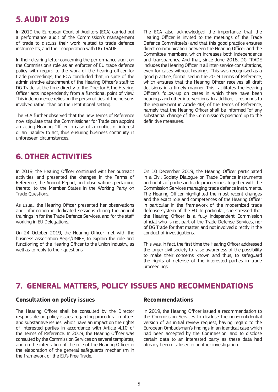## **5. AUDIT 2019**

In 2019 the European Court of Auditors (ECA) carried out a performance audit of the Commission's management of trade to discuss their work related to trade defence instruments, and their cooperation with DG TRADE.

In their clearing letter concerning the performance audit on the Commission's role as an enforcer of EU trade defence policy with regard to the work of the hearing officer for trade proceedings, the ECA concluded that, in spite of the administrative attachment of the Hearing Officer's staff to DG Trade, at the time directly to the Director F, the Hearing Officer acts independently from a functional point of view. This independence relies on the personalities of the persons involved rather than on the institutional setting.

The ECA further observed that the new Terms of Reference now stipulate that the Commissioner for Trade can appoint an acting Hearing Officer in case of a conflict of interest or an inability to act, thus ensuring business continuity in unforeseen circumstances.

## **6. OTHER ACTIVITIES**

In 2019, the Hearing Officer continued with her outreach activities and presented the changes in the Terms of Reference, the Annual Report, and observations pertaining thereto, to the Member States in the Working Party on Trade Questions.

As usual, the Hearing Officer presented her observations and information in dedicated sessions during the annual trainings in for the Trade Defence Services, and for the staff working in EU Delegations.

On 24 October 2019, the Hearing Officer met with the business association Aegis/UNIFE, to explain the role and functioning of the Hearing Officer to the Union industry, as well as to reply to their questions.

The ECA also acknowledged the importance that the Hearing Officer is invited to the meetings of the Trade Defence Committee(s) and that this good practice ensures direct communication between the Hearing Officer and the Committee members, which increases both independence and transparency. And that, since June 2018, DG TRADE includes the Hearing Officer in all inter-service consultations, even for cases without hearings. This was recognised as a good practice, formalised in the 2019 Terms of Reference, which ensures that the Hearing Officer receives all draft decisions in a timely manner. This facilitates the Hearing Officer's follow-up on cases in which there have been hearings and other interventions. In addition, it responds to the requirement in Article 4(8) of the Terms of Reference, namely that the Hearing Officer shall be informed "of any substantial change of the Commission's position" up to the definitive measures.

On 10 December 2019, the Hearing Officer participated in a Civil Society Dialogue on Trade Defence instruments and rights of parties in trade proceedings, together with the Commission Services managing trade defence instruments. The Hearing Officer highlighted the most recent changes and the exact role and competences of the Hearing Officer in particular in the framework of the modernized trade defense system of the EU. In particular, she stressed that the Hearing Officer is a fully independent Commission official who is not part of the Trade Defense Services, nor of DG Trade for that matter, and not involved directly in the conduct of investigations.

This was, in fact, the first time the Hearing Officer addressed the larger civil society to raise awareness of the possibility to make their concerns known and thus, to safeguard the rights of defense of the interested parties in trade proceedings.

## **7. GENERAL MATTERS, POLICY ISSUES AND RECOMMENDATIONS**

#### **Consultation on policy issues**

The Hearing Officer shall be consulted by the Director responsible on policy issues regarding procedural matters and substantive issues, which have an impact on the rights of interested parties in accordance with Article 4.10 of the Terms of Reference. In 2019, the Hearing Officer was consulted by the Commission Services on several templates, and on the integration of the role of the Hearing Officer in the elaboration of the general safeguards mechanism in the framework of the EU's Free Trade.

#### **Recommendations**

In 2019, the Hearing Officer issued a recommendation to the Commission Services to disclose the non-confidential version of an initial review request, having regard to the European Ombudsman's findings in an identical case which had been accepted by the Commission, and to disclose certain data to an interested party as these data had already been disclosed in another investigation.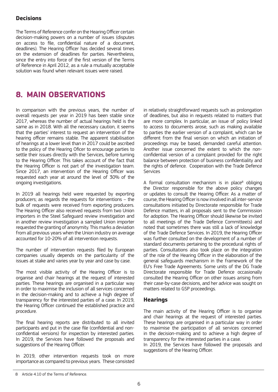#### **Decisions**

The Terms of Reference confer on the Hearing Officer certain decision-making powers on a number of issues (disputes on access to file, confidential nature of a document, deadlines). The Hearing Officer has decided several times on the extension of deadlines for parties. Nevertheless, since the entry into force of the first version of the Terms of Reference in April 2012, as a rule a mutually acceptable solution was found when relevant issues were raised.

## **8. MAIN OBSERVATIONS**

In comparison with the previous years, the number of overall requests per year in 2019 has been stable since 2017, whereas the number of actual hearings held is the same as in 2018. With all the necessary caution, it seems that the parties' interest to request an intervention of the hearing officer remains stable. The apparent stabilisation of hearings at a lower level than in 2017 could be ascribed to the policy of the Hearing Oficer to encourage parties to settle their issues directly with the Services, before turning to the Hearing Officer. This takes account of the fact that the Hearing Officer is not part of the investigation team. Since 2017, an intervention of the Hearing Officer was requested each year at around the level of 30% of the ongoing investigations.

In 2019 all hearings held were requested by exporting producers; as regards the requests for interventions – the bulk of requests were received from exporting producers. The Hearing Officer also received requests from two Union importers in the Steel Safeguard review investigation and in another review investigation a sampled Union importer requested the granting of anonymity. This marks a deviation from all previous years when the Union industry on average accounted for 10-20% of all intervention requests.

The number of intervention requests filed by European companies usually depends on the particularity of the issues at stake and varies year by year and case by case.

The most visible activity of the Hearing Officer is to organise and chair hearings at the request of interested parties. These hearings are organised in a particular way in order to maximise the inclusion of all services concerned in the decision-making and to achieve a high degree of transparency for the interested parties of a case. In 2019, the Hearing Officer continued the established practice and procedure.

The final hearing reports are distributed to all invited participants and put in the case file (confidential and nonconfidential versions) for inspection by interested parties. In 2019, the Services have followed the proposals and suggestions of the Hearing Officer.

In 2019, other intervention requests took on more importance as compared to previous years. These consisted in relatively straightforward requests such as prolongation of deadlines, but also in requests related to matters that are more complex. In particular, an issue of policy linked to access to documents arose, such as making available to parties the earlier version of a complaint, which can be different from the final version on which an initiation of proceedings may be based, demanded careful attention. Another issue concerned the extent to which the nonconfidential version of a complaint provided for the right balance between protection of business confidentiality and the rights of defence. Cooperation with the Trade Defence Services

A formal consultation mechanism is in place<sup>8</sup> obliging the Director responsible for the above policy changes or updates to consult the Hearing Officer. As a matter of course, the Hearing Officer is now involved in all inter-service consultations initiated by Directorate responsible for Trade Defence matters, in all proposals sent to the Commission for adoption. The Hearing Officer should likewise be invited to all meetings of the Trade Defence Committee(s) and noted that sometimes there was still a lack of knowledge of the Trade Defence Services. In 2019, the Hearing Officer was further consulted on the development of a number of standard documents pertaining to the procedural rights of parties. Consultations also took place on the integration of the role of the Hearing Officer in the elaboration of the general safeguards mechanism in the framework of the EU's Free Trade Agreements. Some units of the DG Trade Directorate responsible for Trade Defence occasionally consulted the Hearing Officer on other issues arising from their case-by-case decisions, and her advice was sought on matters related to GSP proceedings.

#### **Hearings**

The main activity of the Hearing Officer is to organise and chair hearings at the request of interested parties. These hearings are organised in a particular way in order to maximise the participation of all services concerned in the decision-making and to achieve a high degree of transparency for the interested parties in a case.

In 2019, the Services have followed the proposals and suggestions of the Hearing Officer.

<sup>8</sup> Article 4.10 of the Terms of Reference.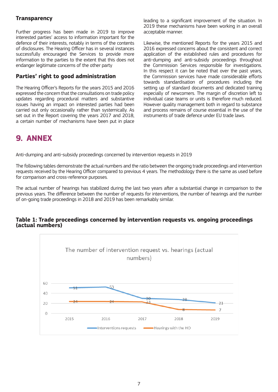#### **Transparency**

Further progress has been made in 2019 to improve interested parties' access to information important for the defence of their interests, notably in terms of the contents of disclosures. The Hearing Officer has in several instances successfully encouraged the Services to provide more information to the parties to the extent that this does not endanger legitimate concerns of the other party

#### **Parties' right to good administration**

The Hearing Officer's Reports for the years 2015 and 2016 expressed the concern that the consultations on trade policy updates regarding procedural matters and substantive issues having an impact on interested parties had been carried out only occasionally rather than systemically. As set out in the Report covering the years 2017 and 2018, a certain number of mechanisms have been put in place leading to a significant improvement of the situation. In 2019 these mechanisms have been working in an overall acceptable manner.

Likewise, the mentioned Reports for the years 2015 and 2016 expressed concerns about the consistent and correct application of the established rules and procedures for anti-dumping and anti-subsidy proceedings throughout the Commission Services responsible for investigations. In this respect it can be noted that over the past years, the Commission services have made considerable efforts towards standardisation of procedures including the setting up of standard documents and dedicated training especially of newcomers. The margin of discretion left to individual case teams or units is therefore much reduced. However quality management both in regard to substance and process remains of course essential in the use of the instruments of trade defence under EU trade laws.

## **9. ANNEX**

Anti-dumping and anti-subsidy proceedings concerned by intervention requests in 2019

The following tables demonstrate the actual numbers and the ratio between the ongoing trade proceedings and intervention requests received by the Hearing Officer compared to previous 4 years. The methodology there is the same as used before for comparison and cross-reference purposes.

The actual number of hearings has stabilized during the last two years after a substantial change in comparison to the previous years. The difference between the number of requests for interventions, the number of hearings and the number of on-going trade proceedings in 2018 and 2019 has been remarkably similar.



#### **Table 1: Trade proceedings concerned by intervention requests vs. ongoing proceedings (actual numbers)**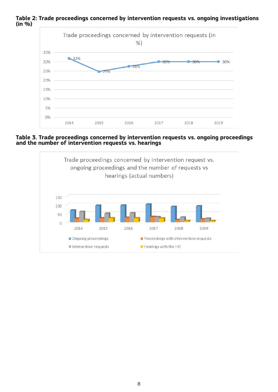

**Table 2: Trade proceedings concerned by intervention requests vs. ongoing investigations (in %)**

**Table 3. Trade proceedings concerned by intervention requests vs. ongoing proceedings and the number of intervention requests vs. hearings**

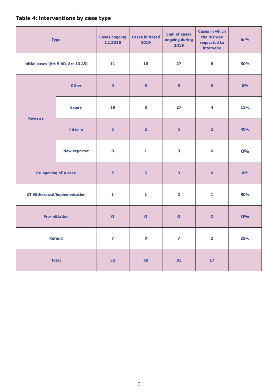#### **Table 4: Interventions by case type**

| <b>Type</b>                         |                     | <b>Cases ongoing</b><br>1.1.2019 | <b>Cases initiated</b><br>2019 | <b>Sum of cases</b><br>ongoing during<br>2019 | <b>Cases in which</b><br>the HO was<br>requested to<br>intervene | in $%$ |
|-------------------------------------|---------------------|----------------------------------|--------------------------------|-----------------------------------------------|------------------------------------------------------------------|--------|
| Initial cases (Art 5 AD, Art 10 AS) |                     | 11                               | 16                             | 27                                            | 8                                                                | 30%    |
| <b>Reviews</b>                      | <b>Other</b>        | $\bullet$                        | 5                              | 5                                             | $\bullet$                                                        | 0%     |
|                                     | <b>Expiry</b>       | 19                               | 8                              | 27                                            | 4                                                                | 15%    |
|                                     | <b>Interim</b>      | $\overline{\mathbf{3}}$          | $\overline{2}$                 | $\overline{\mathbf{5}}$                       | $\overline{2}$                                                   | 40%    |
|                                     | <b>New exporter</b> | 8                                | $\mathbf 1$                    | 9                                             | $\mathbf 0$                                                      | 0%     |
| Re-opening of a case                |                     | $\overline{\mathbf{3}}$          | $\boldsymbol{6}$               | $\overline{9}$                                | $\pmb{\mathsf{O}}$                                               | 0%     |
| UT Withdrawal/Implementation        |                     | $\mathbf 1$                      | $\mathbf 1$                    | $\overline{\mathbf{z}}$                       | $\mathbf 1$                                                      | 50%    |
| <b>Pre-Initiation</b>               |                     | $\bullet$                        | $\bullet$                      | $\bullet$                                     | $\bullet$                                                        | 0%     |
| Refund                              |                     | $\overline{\mathbf{z}}$          | $\mathbf 0$                    | $\overline{7}$                                | $\overline{\mathbf{2}}$                                          | 29%    |
| <b>Total</b>                        |                     | 52                               | 39                             | 91                                            | ${\bf 17}$                                                       |        |